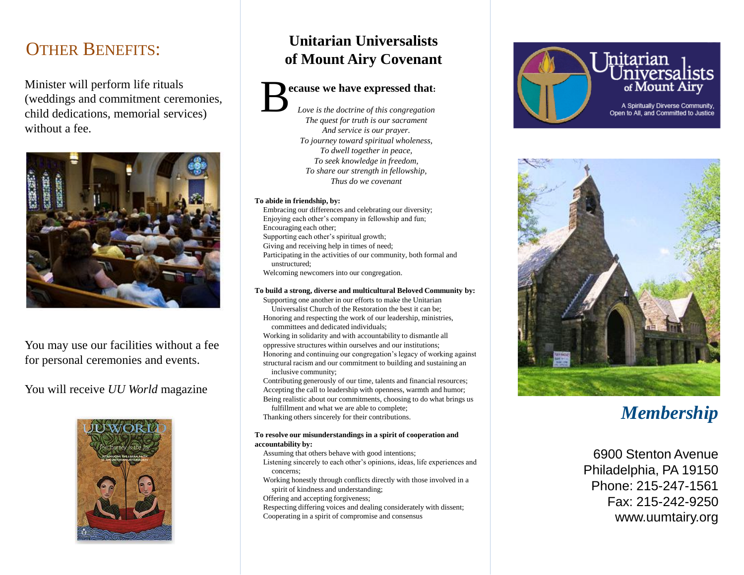### OTHER BENEFITS:

Minister will perform life rituals (weddings and commitment ceremonies, child dedications, memorial services) without a fee.



You may use our facilities without a fee for personal ceremonies and events.

You will receive *UU World* magazine



### **Unitarian Universalists of Mount Airy Covenant**

#### **ecause we have expressed that:** *Love is the doctrine of this congregation* B

*The quest for truth is our sacrament And service is our prayer. To journey toward spiritual wholeness, To dwell together in peace, To seek knowledge in freedom, To share our strength in fellowship, Thus do we covenant*

#### **To abide in friendship, by:**

- Embracing our differences and celebrating our diversity; Enjoying each other's company in fellowship and fun; Encouraging each other;
- Supporting each other's spiritual growth;
- Giving and receiving help in times of need;
- Participating in the activities of our community, both formal and unstructured;

Welcoming newcomers into our congregation.

#### **To build a strong, diverse and multicultural Beloved Community by:**

Supporting one another in our efforts to make the Unitarian Universalist Church of the Restoration the best it can be; Honoring and respecting the work of our leadership, ministries,

committees and dedicated individuals;

Working in solidarity and with accountability to dismantle all oppressive structures within ourselves and our institutions; Honoring and continuing our congregation's legacy of working against structural racism and our commitment to building and sustaining an inclusive community;

Contributing generously of our time, talents and financial resources; Accepting the call to leadership with openness, warmth and humor; Being realistic about our commitments, choosing to do what brings us

fulfillment and what we are able to complete; Thanking others sincerely for their contributions.

#### **To resolve our misunderstandings in a spirit of cooperation and accountability by:**

Assuming that others behave with good intentions;

- Listening sincerely to each other's opinions, ideas, life experiences and concerns;
- Working honestly through conflicts directly with those involved in a spirit of kindness and understanding;
- Offering and accepting forgiveness;
- Respecting differing voices and dealing considerately with dissent; Cooperating in a spirit of compromise and consensus





# *Membership*

6900 Stenton Avenue Philadelphia, PA 19150 Phone: 215-247-1561 Fax: 215-242-9250 www.uumtairy.org